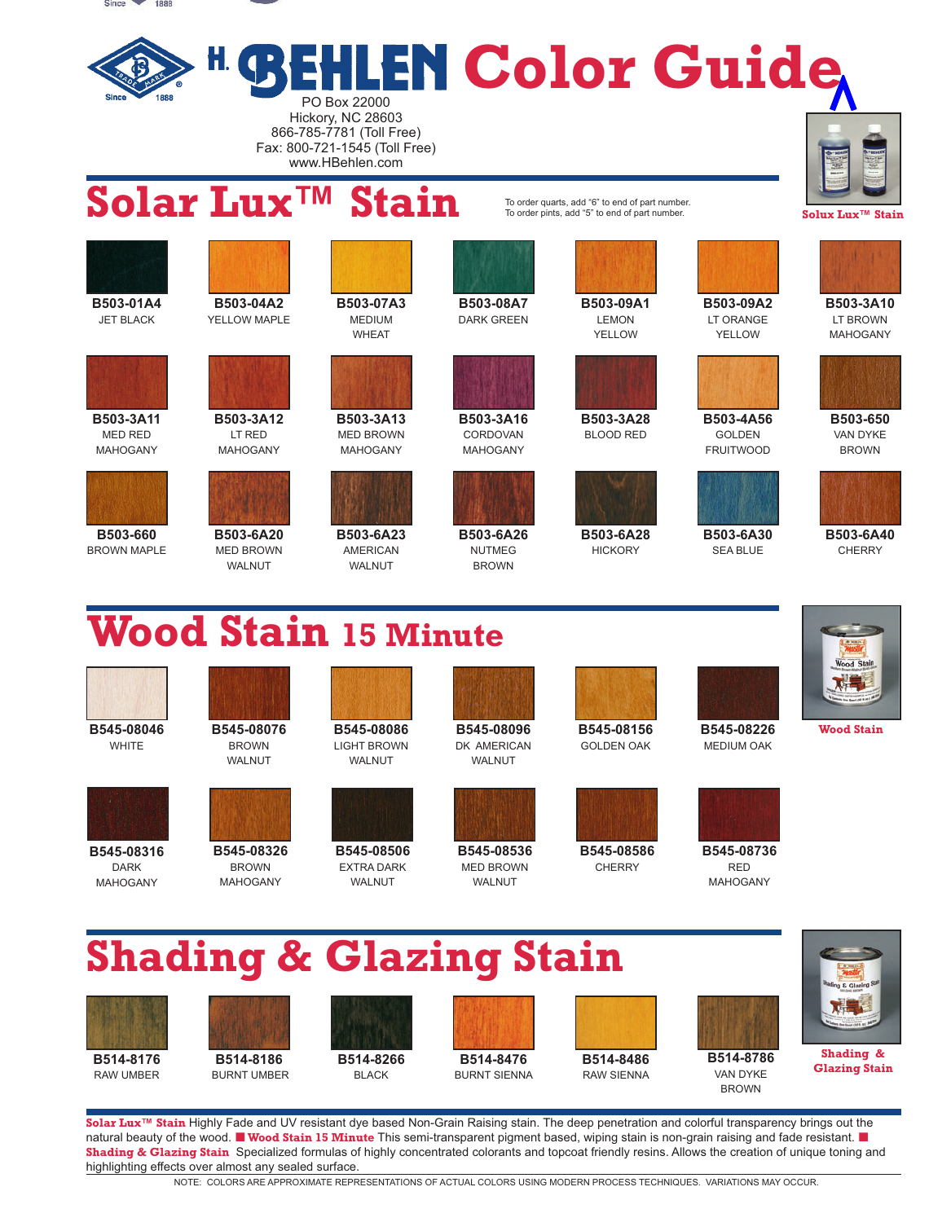

**B503-3A16**  CORDOVAN MAHOGANY

**B503-3A11**  MED RED MAHOGANY



**B503-660**  BROWN MAPLE



MED BROWN MAHOGANY



**B503-6A20 B503-6A23 B503-6A26**  MED BROWN AMERICAN NUTMEG WALNUT WALNUT BROWN



GOLDEN FRUITWOOD

**B503-6A30**  SEA BLUE

**B503-650**  VAN DYKE BROWN



**B503-6A40 CHERRY** 

## **Wood Stain 15 Minute**







**B503-3A12**  LT RED MAHOGANY







**B545-08316 B545-08326 B545-08506 B545-08536 B545-08586 B545-08736**  DARK BROWN EXTRA DARK MED BROWN CHERRY RED



**B503-3A28**  BLOOD RED

**B503-6A28 HICKORY** 









WALNUT WALNUT WALNUT WALNUT

MAHOGANY MAHOGANY WALNUT WALNUT MAHOGANY

WHITE BROWN LIGHT BROWN DK AMERICAN GOLDEN OAK MEDIUM OAK





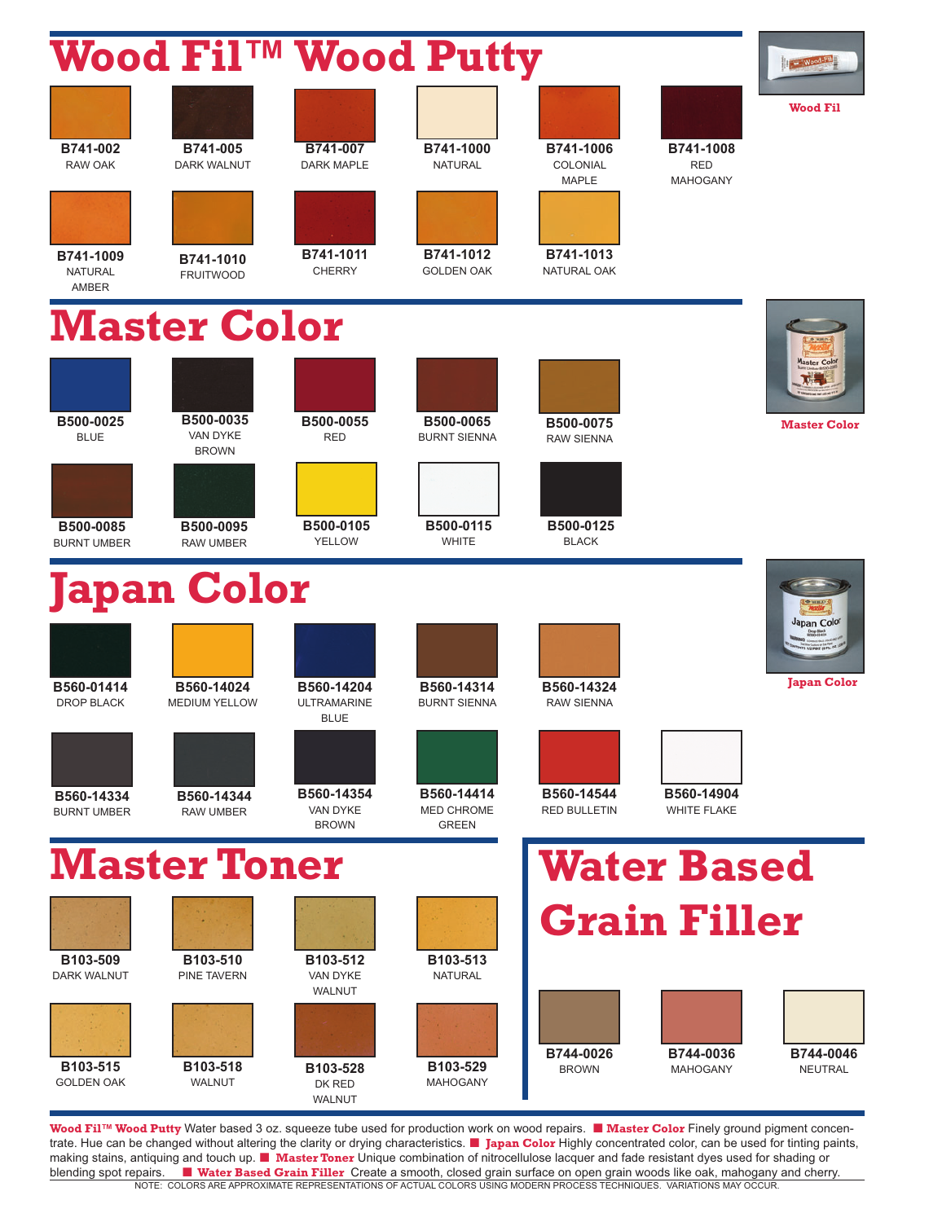|                                      | Wood Fil <sup>TM</sup> Wood Putty     |                                                 |                                          |                                       |                                            | Vood-Fil                    |
|--------------------------------------|---------------------------------------|-------------------------------------------------|------------------------------------------|---------------------------------------|--------------------------------------------|-----------------------------|
|                                      |                                       |                                                 |                                          |                                       |                                            | <b>Wood Fil</b>             |
| B741-002<br><b>RAW OAK</b>           | B741-005<br><b>DARK WALNUT</b>        | B741-007<br><b>DARK MAPLE</b>                   | B741-1000<br><b>NATURAL</b>              | B741-1006<br>COLONIAL<br><b>MAPLE</b> | B741-1008<br><b>RED</b><br><b>MAHOGANY</b> |                             |
|                                      |                                       |                                                 |                                          |                                       |                                            |                             |
| B741-1009<br><b>NATURAL</b><br>AMBER | B741-1010<br><b>FRUITWOOD</b>         | B741-1011<br><b>CHERRY</b>                      | B741-1012<br><b>GOLDEN OAK</b>           | B741-1013<br>NATURAL OAK              |                                            |                             |
|                                      | <b>Master Color</b>                   |                                                 |                                          |                                       |                                            |                             |
|                                      |                                       |                                                 |                                          |                                       |                                            | Master Cok                  |
| B500-0025<br><b>BLUE</b>             | B500-0035<br>VAN DYKE<br><b>BROWN</b> | B500-0055<br><b>RED</b>                         | B500-0065<br><b>BURNT SIENNA</b>         | B500-0075<br><b>RAW SIENNA</b>        |                                            | <b>Master Color</b>         |
|                                      |                                       |                                                 |                                          |                                       |                                            |                             |
| B500-0085<br><b>BURNT UMBER</b>      | B500-0095<br><b>RAW UMBER</b>         | B500-0105<br><b>YELLOW</b>                      | B500-0115<br><b>WHITE</b>                | B500-0125<br><b>BLACK</b>             |                                            |                             |
|                                      | <b>Japan Color</b>                    |                                                 |                                          |                                       |                                            |                             |
|                                      |                                       |                                                 |                                          |                                       |                                            | Japan Color                 |
| B560-01414<br><b>DROP BLACK</b>      | B560-14024<br><b>MEDIUM YELLOW</b>    | B560-14204<br><b>ULTRAMARINE</b><br><b>BLUE</b> | B560-14314<br>BURNT SIENNA               | B560-14324<br><b>RAW SIENNA</b>       |                                            | <b>Japan Color</b>          |
|                                      |                                       |                                                 |                                          |                                       |                                            |                             |
| B560-14334<br><b>BURNT UMBER</b>     | B560-14344<br><b>RAW UMBER</b>        | B560-14354<br>VAN DYKE<br><b>BROWN</b>          | B560-14414<br>MED CHROME<br><b>GREEN</b> | B560-14544<br><b>RED BULLETIN</b>     | B560-14904<br><b>WHITE FLAKE</b>           |                             |
|                                      | <b>Master Toner</b>                   |                                                 |                                          |                                       | <b>Water Based</b>                         |                             |
|                                      |                                       |                                                 |                                          |                                       | <b>Grain Filler</b>                        |                             |
| B103-509<br><b>DARK WALNUT</b>       | B103-510<br><b>PINE TAVERN</b>        | B103-512<br>VAN DYKE<br>WALNUT                  | B103-513<br><b>NATURAL</b>               |                                       |                                            |                             |
|                                      |                                       |                                                 |                                          |                                       |                                            |                             |
| B103-515<br><b>GOLDEN OAK</b>        | B103-518<br><b>WALNUT</b>             | B103-528<br>DK RED<br>WALNUT                    | B103-529<br><b>MAHOGANY</b>              | B744-0026<br><b>BROWN</b>             | B744-0036<br><b>MAHOGANY</b>               | B744-0046<br><b>NEUTRAL</b> |

**Wood Fil™ Wood Putty** Water based 3 oz. squeeze tube used for production work on wood repairs. ■ Master Color Finely ground pigment concentrate. Hue can be changed without altering the clarity or drying characteristics. ¢ **Japan Color** Highly concentrated color, can be used for tinting paints, making stains, antiquing and touch up. ■ Master Toner Unique combination of nitrocellulose lacquer and fade resistant dyes used for shading or blending spot repairs. ¢ **Water Based Grain Filler** Create a smooth, closed grain surface on open grain woods like oak, mahogany and cherry. NOTE: COLORS ARE APPROXIMATE REPRESENTATIONS OF ACTUAL COLORS USING MODERN PROCESS TECHNIQUES. VARIATIONS MAY OCCUR.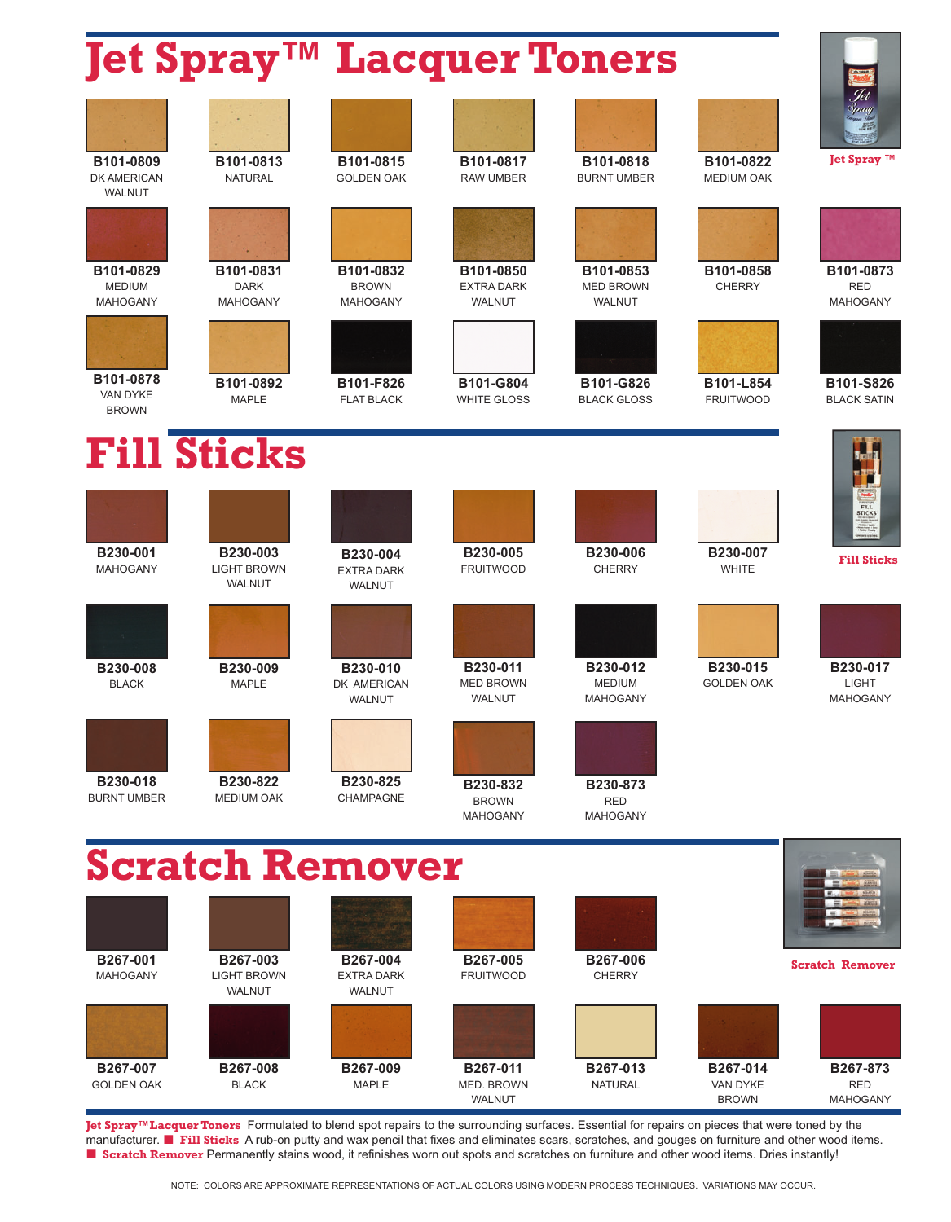## **Joseph Lackman Toners**

| ler bhrai                                     |                                                 |                                                |                                               | ngcd get Toligts                             |                                      |                                             |
|-----------------------------------------------|-------------------------------------------------|------------------------------------------------|-----------------------------------------------|----------------------------------------------|--------------------------------------|---------------------------------------------|
|                                               |                                                 |                                                |                                               |                                              |                                      |                                             |
| B101-0809<br>DK AMERICAN<br>WALNUT            | B101-0813<br><b>NATURAL</b>                     | B101-0815<br><b>GOLDEN OAK</b>                 | B101-0817<br><b>RAW UMBER</b>                 | B101-0818<br><b>BURNT UMBER</b>              | B101-0822<br><b>MEDIUM OAK</b>       | Jet Spray ™                                 |
|                                               |                                                 |                                                |                                               |                                              |                                      |                                             |
| B101-0829<br><b>MEDIUM</b><br><b>MAHOGANY</b> | B101-0831<br><b>DARK</b><br><b>MAHOGANY</b>     | B101-0832<br><b>BROWN</b><br><b>MAHOGANY</b>   | B101-0850<br><b>EXTRA DARK</b><br>WALNUT      | B101-0853<br><b>MED BROWN</b><br>WALNUT      | B101-0858<br><b>CHERRY</b>           | B101-0873<br><b>RED</b><br>MAHOGANY         |
|                                               |                                                 |                                                |                                               |                                              |                                      |                                             |
| B101-0878<br>VAN DYKE<br><b>BROWN</b>         | B101-0892<br><b>MAPLE</b>                       | B101-F826<br><b>FLAT BLACK</b>                 | B101-G804<br><b>WHITE GLOSS</b>               | B101-G826<br><b>BLACK GLOSS</b>              | B101-L854<br><b>FRUITWOOD</b>        | B101-S826<br><b>BLACK SATIN</b>             |
|                                               | <b>Fill Sticks</b>                              |                                                |                                               |                                              |                                      |                                             |
|                                               |                                                 |                                                |                                               |                                              |                                      | <b>FILL</b><br><b>STICKS</b>                |
| B230-001<br><b>MAHOGANY</b>                   | B230-003<br><b>LIGHT BROWN</b><br>WALNUT        | B230-004<br><b>EXTRA DARK</b><br>WALNUT        | B230-005<br><b>FRUITWOOD</b>                  | B230-006<br><b>CHERRY</b>                    | B230-007<br>WHITE                    | <b>Fill Sticks</b>                          |
|                                               |                                                 |                                                |                                               |                                              |                                      |                                             |
| B230-008<br><b>BLACK</b>                      | B230-009<br><b>MAPLE</b>                        | B230-010<br>DK AMERICAN<br>WALNUT              | B230-011<br><b>MED BROWN</b><br><b>WALNUT</b> | B230-012<br><b>MEDIUM</b><br><b>MAHOGANY</b> | B230-015<br><b>GOLDEN OAK</b>        | B230-017<br><b>LIGHT</b><br><b>MAHOGANY</b> |
|                                               |                                                 |                                                |                                               |                                              |                                      |                                             |
| B230-018<br><b>BURNT UMBER</b>                | B230-822<br><b>MEDIUM OAK</b>                   | B230-825<br>CHAMPAGNE                          | B230-832<br><b>BROWN</b><br><b>MAHOGANY</b>   | B230-873<br><b>RED</b><br><b>MAHOGANY</b>    |                                      |                                             |
|                                               |                                                 | <b>Scratch Remover</b>                         |                                               |                                              |                                      |                                             |
|                                               |                                                 |                                                |                                               |                                              |                                      |                                             |
| B267-001<br><b>MAHOGANY</b>                   | B267-003<br><b>LIGHT BROWN</b><br><b>WALNUT</b> | B267-004<br><b>EXTRA DARK</b><br><b>WALNUT</b> | B267-005<br><b>FRUITWOOD</b>                  | B267-006<br><b>CHERRY</b>                    |                                      | <b>Scratch Remover</b>                      |
|                                               |                                                 |                                                |                                               |                                              |                                      |                                             |
| B267-007<br><b>GOLDEN OAK</b>                 | B267-008<br><b>BLACK</b>                        | B267-009<br><b>MAPLE</b>                       | B267-011<br>MED. BROWN<br>WALNUT              | B267-013<br><b>NATURAL</b>                   | B267-014<br>VAN DYKE<br><b>BROWN</b> | B267-873<br><b>RED</b><br><b>MAHOGANY</b>   |

**Jet Spray™Lacquer Toners** Formulated to blend spot repairs to the surrounding surfaces. Essential for repairs on pieces that were toned by the<br>manufacturer. ■ Fill Sticks A rub-on putty and wax pencil that fixes and elim ■ **Scratch Remover** Permanently stains wood, it refinishes worn out spots and scratches on furniture and other wood items. Dries instantly!